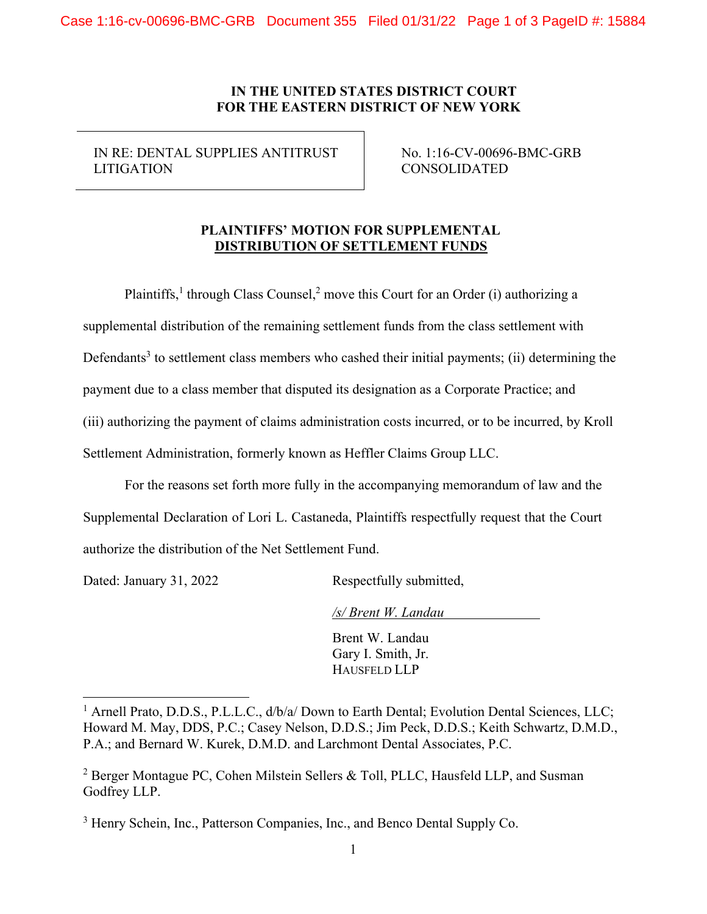IN RE: DENTAL SUPPLIES ANTITRUST LITIGATION

No. 1:16-CV-00696-BMC-GRB CONSOLIDATED

# **PLAINTIFFS' MOTION FOR SUPPLEMENTAL DISTRIBUTION OF SETTLEMENT FUNDS**

Plaintiffs,<sup>1</sup> through Class Counsel,<sup>2</sup> move this Court for an Order (i) authorizing a supplemental distribution of the remaining settlement funds from the class settlement with Defendants<sup>3</sup> to settlement class members who cashed their initial payments; (ii) determining the payment due to a class member that disputed its designation as a Corporate Practice; and (iii) authorizing the payment of claims administration costs incurred, or to be incurred, by Kroll Settlement Administration, formerly known as Heffler Claims Group LLC.

For the reasons set forth more fully in the accompanying memorandum of law and the Supplemental Declaration of Lori L. Castaneda, Plaintiffs respectfully request that the Court authorize the distribution of the Net Settlement Fund.

Dated: January 31, 2022 Respectfully submitted,

*/s/ Brent W. Landau*

Brent W. Landau Gary I. Smith, Jr. HAUSFELD LLP

<sup>&</sup>lt;sup>1</sup> Arnell Prato, D.D.S., P.L.L.C.,  $d/b/a/D$ own to Earth Dental; Evolution Dental Sciences, LLC; Howard M. May, DDS, P.C.; Casey Nelson, D.D.S.; Jim Peck, D.D.S.; Keith Schwartz, D.M.D., P.A.; and Bernard W. Kurek, D.M.D. and Larchmont Dental Associates, P.C.

<sup>&</sup>lt;sup>2</sup> Berger Montague PC, Cohen Milstein Sellers & Toll, PLLC, Hausfeld LLP, and Susman Godfrey LLP.

<sup>&</sup>lt;sup>3</sup> Henry Schein, Inc., Patterson Companies, Inc., and Benco Dental Supply Co.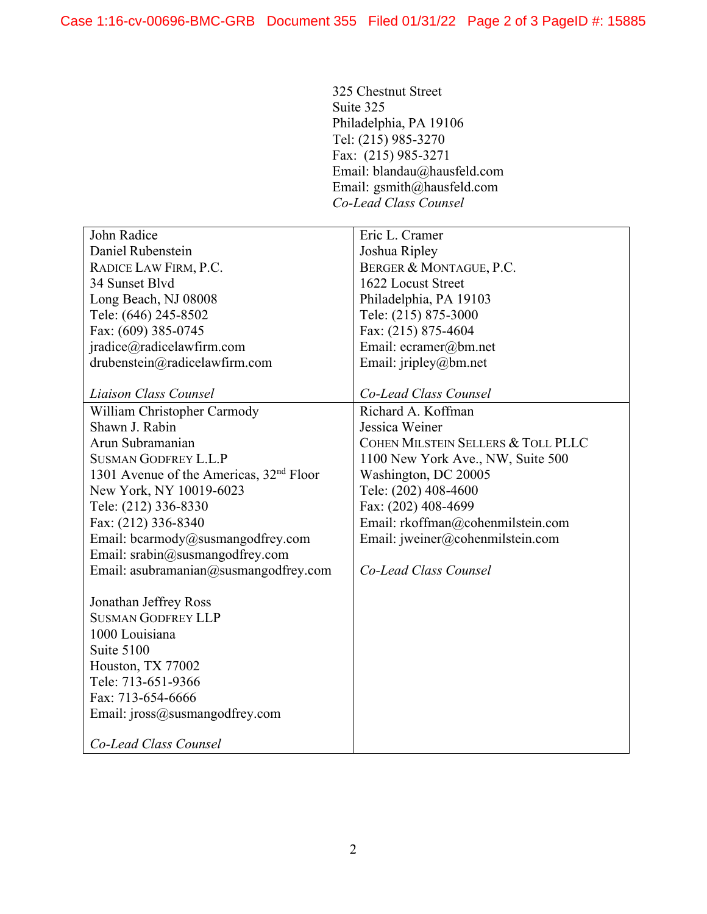325 Chestnut Street Suite 325 Philadelphia, PA 19106 Tel: (215) 985-3270 Fax: (215) 985-3271 Email: [blandau@hausfeld.com](mailto:blandau@hausfeld.com) Email: [gsmith@hausfeld.com](mailto:gsmith@hausfeld.com) *Co-Lead Class Counsel*

| John Radice                                         | Eric L. Cramer                     |
|-----------------------------------------------------|------------------------------------|
| Daniel Rubenstein                                   | Joshua Ripley                      |
| RADICE LAW FIRM, P.C.                               | BERGER & MONTAGUE, P.C.            |
| 34 Sunset Blvd                                      | 1622 Locust Street                 |
| Long Beach, NJ 08008                                | Philadelphia, PA 19103             |
| Tele: (646) 245-8502                                | Tele: (215) 875-3000               |
| Fax: (609) 385-0745                                 | Fax: (215) 875-4604                |
| jradice@radicelawfirm.com                           | Email: ecramer@bm.net              |
| drubenstein@radicelawfirm.com                       | Email: jripley@bm.net              |
|                                                     |                                    |
| Liaison Class Counsel                               | Co-Lead Class Counsel              |
| William Christopher Carmody                         | Richard A. Koffman                 |
| Shawn J. Rabin                                      | Jessica Weiner                     |
| Arun Subramanian                                    | COHEN MILSTEIN SELLERS & TOLL PLLC |
| <b>SUSMAN GODFREY L.L.P</b>                         | 1100 New York Ave., NW, Suite 500  |
| 1301 Avenue of the Americas, 32 <sup>nd</sup> Floor | Washington, DC 20005               |
| New York, NY 10019-6023                             | Tele: (202) 408-4600               |
| Tele: (212) 336-8330                                | Fax: (202) 408-4699                |
| Fax: (212) 336-8340                                 | Email: rkoffman@cohenmilstein.com  |
| Email: bcarmody@susmangodfrey.com                   | Email: jweiner@cohenmilstein.com   |
| Email: srabin@susmangodfrey.com                     |                                    |
| Email: asubramanian@susmangodfrey.com               | Co-Lead Class Counsel              |
|                                                     |                                    |
| Jonathan Jeffrey Ross                               |                                    |
| <b>SUSMAN GODFREY LLP</b>                           |                                    |
| 1000 Louisiana                                      |                                    |
| Suite 5100                                          |                                    |
| Houston, TX 77002                                   |                                    |
| Tele: 713-651-9366                                  |                                    |
| Fax: 713-654-6666                                   |                                    |
| Email: jross@susmangodfrey.com                      |                                    |
|                                                     |                                    |
| Co-Lead Class Counsel                               |                                    |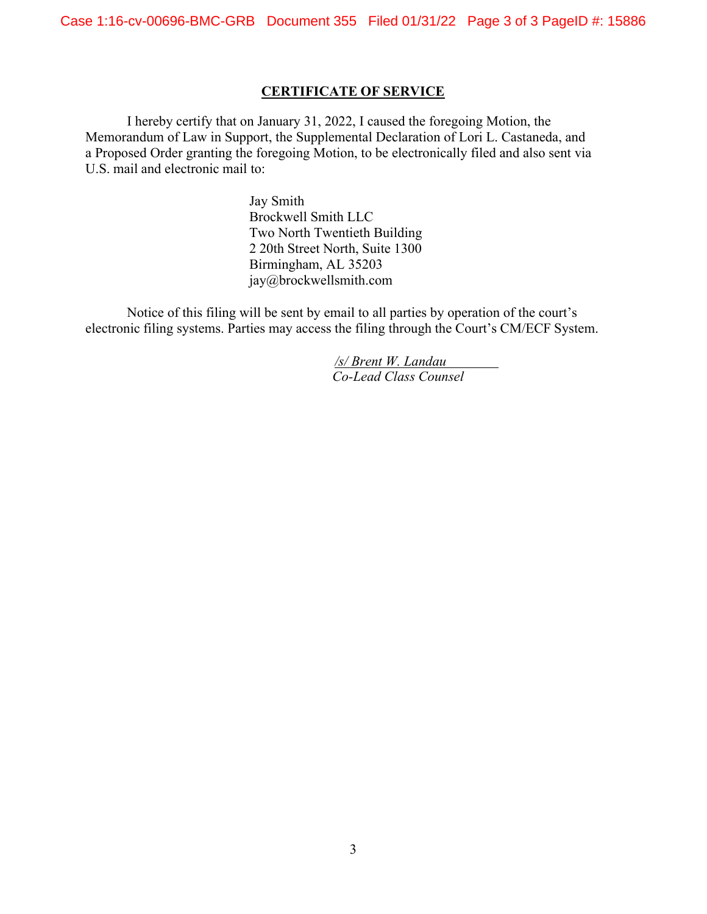#### **CERTIFICATE OF SERVICE**

I hereby certify that on January 31, 2022, I caused the foregoing Motion, the Memorandum of Law in Support, the Supplemental Declaration of Lori L. Castaneda, and a Proposed Order granting the foregoing Motion, to be electronically filed and also sent via U.S. mail and electronic mail to:

> Jay Smith Brockwell Smith LLC Two North Twentieth Building 2 20th Street North, Suite 1300 Birmingham, AL 35203 [jay@brockwellsmith.com](mailto:jay@brockwellsmith.com)

Notice of this filing will be sent by email to all parties by operation of the court's electronic filing systems. Parties may access the filing through the Court's CM/ECF System.

> */s/ Brent W. Landau Co-Lead Class Counsel*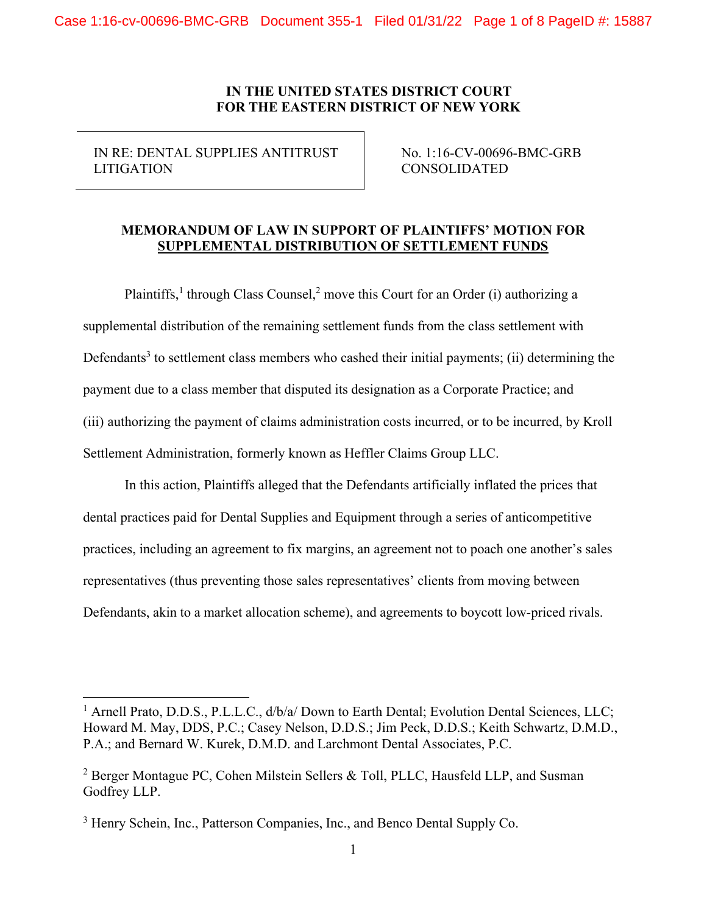IN RE: DENTAL SUPPLIES ANTITRUST LITIGATION

No. 1:16-CV-00696-BMC-GRB CONSOLIDATED

## **MEMORANDUM OF LAW IN SUPPORT OF PLAINTIFFS' MOTION FOR SUPPLEMENTAL DISTRIBUTION OF SETTLEMENT FUNDS**

Plaintiffs,<sup>1</sup> through Class Counsel,<sup>2</sup> move this Court for an Order (i) authorizing a supplemental distribution of the remaining settlement funds from the class settlement with Defendants<sup>3</sup> to settlement class members who cashed their initial payments; (ii) determining the payment due to a class member that disputed its designation as a Corporate Practice; and (iii) authorizing the payment of claims administration costs incurred, or to be incurred, by Kroll Settlement Administration, formerly known as Heffler Claims Group LLC.

In this action, Plaintiffs alleged that the Defendants artificially inflated the prices that dental practices paid for Dental Supplies and Equipment through a series of anticompetitive practices, including an agreement to fix margins, an agreement not to poach one another's sales representatives (thus preventing those sales representatives' clients from moving between Defendants, akin to a market allocation scheme), and agreements to boycott low-priced rivals.

<sup>&</sup>lt;sup>1</sup> Arnell Prato, D.D.S., P.L.L.C.,  $d/b/a/D$ own to Earth Dental; Evolution Dental Sciences, LLC; Howard M. May, DDS, P.C.; Casey Nelson, D.D.S.; Jim Peck, D.D.S.; Keith Schwartz, D.M.D., P.A.; and Bernard W. Kurek, D.M.D. and Larchmont Dental Associates, P.C.

<sup>&</sup>lt;sup>2</sup> Berger Montague PC, Cohen Milstein Sellers & Toll, PLLC, Hausfeld LLP, and Susman Godfrey LLP.

<sup>&</sup>lt;sup>3</sup> Henry Schein, Inc., Patterson Companies, Inc., and Benco Dental Supply Co.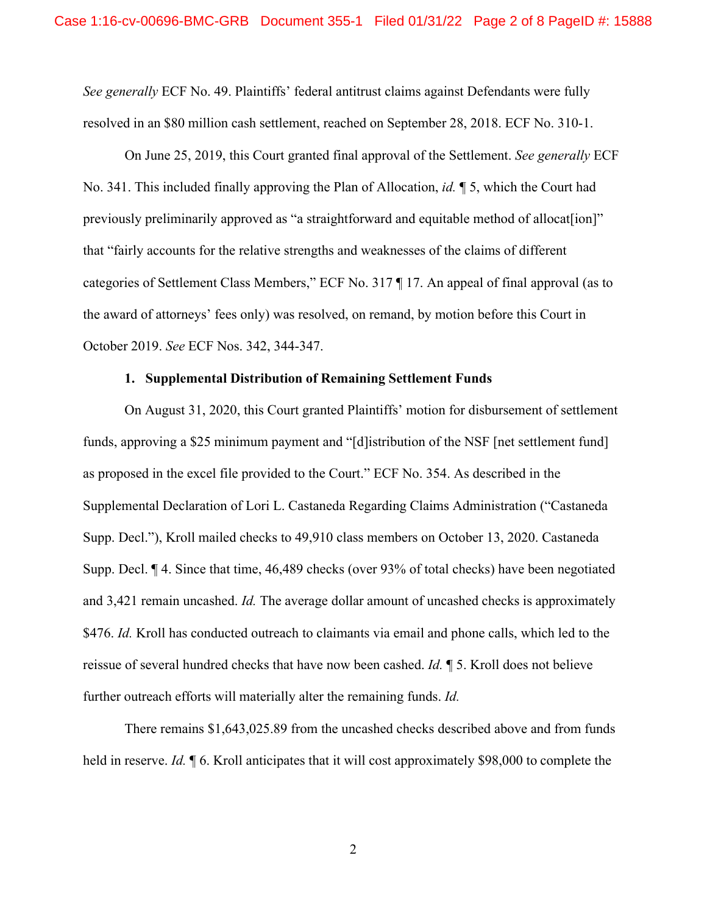*See generally* ECF No. 49. Plaintiffs' federal antitrust claims against Defendants were fully resolved in an \$80 million cash settlement, reached on September 28, 2018. ECF No. 310-1.

On June 25, 2019, this Court granted final approval of the Settlement. *See generally* ECF No. 341. This included finally approving the Plan of Allocation, *id.* ¶ 5, which the Court had previously preliminarily approved as "a straightforward and equitable method of allocat [ion]" that "fairly accounts for the relative strengths and weaknesses of the claims of different categories of Settlement Class Members," ECF No. 317 ¶ 17. An appeal of final approval (as to the award of attorneys' fees only) was resolved, on remand, by motion before this Court in October 2019. *See* ECF Nos. 342, 344-347.

#### **1. Supplemental Distribution of Remaining Settlement Funds**

On August 31, 2020, this Court granted Plaintiffs' motion for disbursement of settlement funds, approving a \$25 minimum payment and "[d]istribution of the NSF [net settlement fund] as proposed in the excel file provided to the Court." ECF No. 354. As described in the Supplemental Declaration of Lori L. Castaneda Regarding Claims Administration ("Castaneda Supp. Decl."), Kroll mailed checks to 49,910 class members on October 13, 2020. Castaneda Supp. Decl. ¶ 4. Since that time, 46,489 checks (over 93% of total checks) have been negotiated and 3,421 remain uncashed. *Id.* The average dollar amount of uncashed checks is approximately \$476. *Id.* Kroll has conducted outreach to claimants via email and phone calls, which led to the reissue of several hundred checks that have now been cashed. *Id.* ¶ 5. Kroll does not believe further outreach efforts will materially alter the remaining funds. *Id.*

There remains \$1,643,025.89 from the uncashed checks described above and from funds held in reserve. *Id.* ¶ 6. Kroll anticipates that it will cost approximately \$98,000 to complete the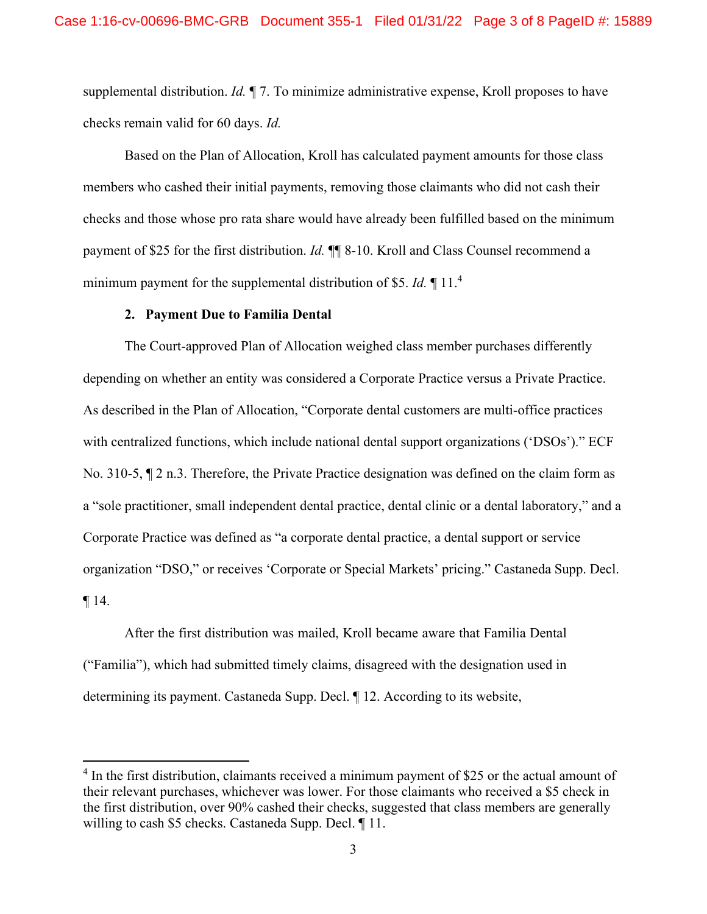supplemental distribution. *Id.* ¶ 7. To minimize administrative expense, Kroll proposes to have checks remain valid for 60 days. *Id.*

Based on the Plan of Allocation, Kroll has calculated payment amounts for those class members who cashed their initial payments, removing those claimants who did not cash their checks and those whose pro rata share would have already been fulfilled based on the minimum payment of \$25 for the first distribution. *Id.* ¶¶ 8-10. Kroll and Class Counsel recommend a minimum payment for the supplemental distribution of \$5. *Id.* ¶ 11[.4](#page-8-0)

#### **2. Payment Due to Familia Dental**

The Court-approved Plan of Allocation weighed class member purchases differently depending on whether an entity was considered a Corporate Practice versus a Private Practice. As described in the Plan of Allocation, "Corporate dental customers are multi-office practices with centralized functions, which include national dental support organizations ('DSOs')." ECF No. 310-5, ¶ 2 n.3. Therefore, the Private Practice designation was defined on the claim form as a "sole practitioner, small independent dental practice, dental clinic or a dental laboratory," and a Corporate Practice was defined as "a corporate dental practice, a dental support or service organization "DSO," or receives 'Corporate or Special Markets' pricing." Castaneda Supp. Decl.  $\P$  14.

After the first distribution was mailed, Kroll became aware that Familia Dental ("Familia"), which had submitted timely claims, disagreed with the designation used in determining its payment. Castaneda Supp. Decl. ¶ 12. According to its website,

 $4$  In the first distribution, claimants received a minimum payment of \$25 or the actual amount of their relevant purchases, whichever was lower. For those claimants who received a \$5 check in the first distribution, over 90% cashed their checks, suggested that class members are generally willing to cash \$5 checks. Castaneda Supp. Decl. ¶ 11.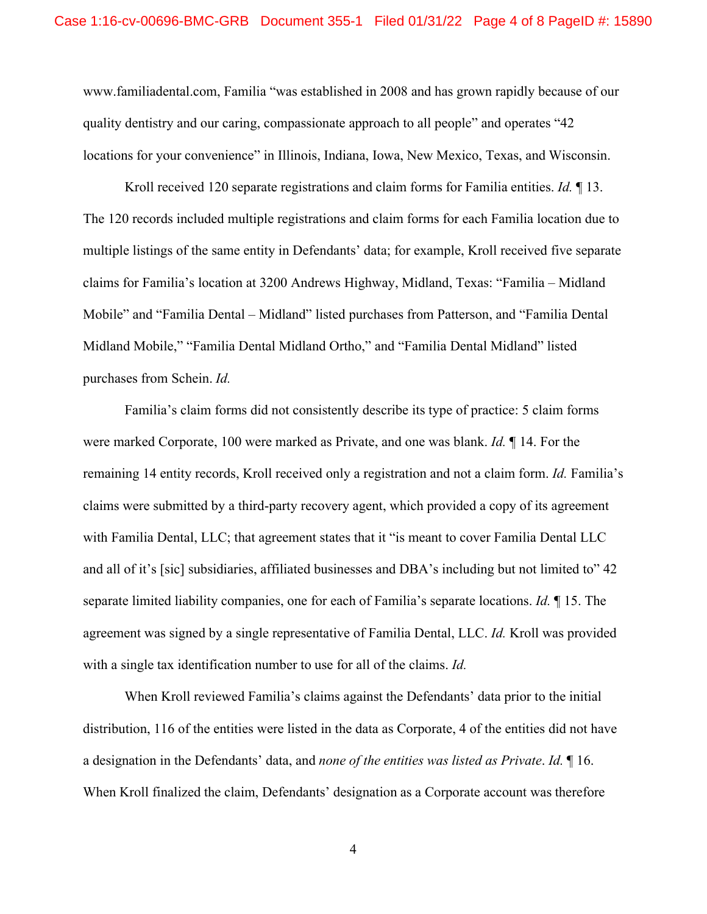[www.familiadental.com,](http://www.familiadental.com/) Familia "was established in 2008 and has grown rapidly because of our quality dentistry and our caring, compassionate approach to all people" and operates "42 locations for your convenience" in Illinois, Indiana, Iowa, New Mexico, Texas, and Wisconsin.

Kroll received 120 separate registrations and claim forms for Familia entities. *Id.* ¶ 13. The 120 records included multiple registrations and claim forms for each Familia location due to multiple listings of the same entity in Defendants' data; for example, Kroll received five separate claims for Familia's location at 3200 Andrews Highway, Midland, Texas: "Familia – Midland Mobile" and "Familia Dental – Midland" listed purchases from Patterson, and "Familia Dental Midland Mobile," "Familia Dental Midland Ortho," and "Familia Dental Midland" listed purchases from Schein. *Id.*

Familia's claim forms did not consistently describe its type of practice: 5 claim forms were marked Corporate, 100 were marked as Private, and one was blank. *Id.* ¶ 14. For the remaining 14 entity records, Kroll received only a registration and not a claim form. *Id.* Familia's claims were submitted by a third-party recovery agent, which provided a copy of its agreement with Familia Dental, LLC; that agreement states that it "is meant to cover Familia Dental LLC and all of it's [sic] subsidiaries, affiliated businesses and DBA's including but not limited to" 42 separate limited liability companies, one for each of Familia's separate locations. *Id.* ¶ 15. The agreement was signed by a single representative of Familia Dental, LLC. *Id.* Kroll was provided with a single tax identification number to use for all of the claims. *Id.*

When Kroll reviewed Familia's claims against the Defendants' data prior to the initial distribution, 116 of the entities were listed in the data as Corporate, 4 of the entities did not have a designation in the Defendants' data, and *none of the entities was listed as Private*. *Id.* ¶ 16. When Kroll finalized the claim, Defendants' designation as a Corporate account was therefore

4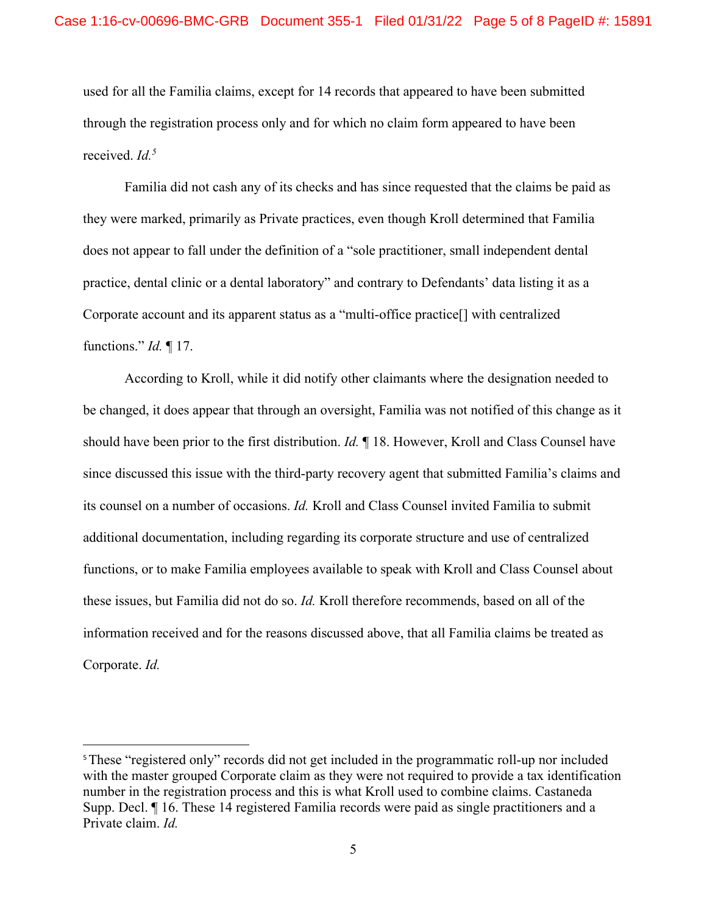used for all the Familia claims, except for 14 records that appeared to have been submitted through the registration process only and for which no claim form appeared to have been received. *Id[.5](#page-8-0)*

Familia did not cash any of its checks and has since requested that the claims be paid as they were marked, primarily as Private practices, even though Kroll determined that Familia does not appear to fall under the definition of a "sole practitioner, small independent dental practice, dental clinic or a dental laboratory" and contrary to Defendants' data listing it as a Corporate account and its apparent status as a "multi-office practice[] with centralized functions." *Id.* ¶ 17.

According to Kroll, while it did notify other claimants where the designation needed to be changed, it does appear that through an oversight, Familia was not notified of this change as it should have been prior to the first distribution. *Id.* ¶ 18. However, Kroll and Class Counsel have since discussed this issue with the third-party recovery agent that submitted Familia's claims and its counsel on a number of occasions. *Id.* Kroll and Class Counsel invited Familia to submit additional documentation, including regarding its corporate structure and use of centralized functions, or to make Familia employees available to speak with Kroll and Class Counsel about these issues, but Familia did not do so. *Id.* Kroll therefore recommends, based on all of the information received and for the reasons discussed above, that all Familia claims be treated as Corporate. *Id.*

<sup>&</sup>lt;sup>5</sup>These "registered only" records did not get included in the programmatic roll-up nor included with the master grouped Corporate claim as they were not required to provide a tax identification number in the registration process and this is what Kroll used to combine claims. Castaneda Supp. Decl. ¶ 16. These 14 registered Familia records were paid as single practitioners and a Private claim. *Id.*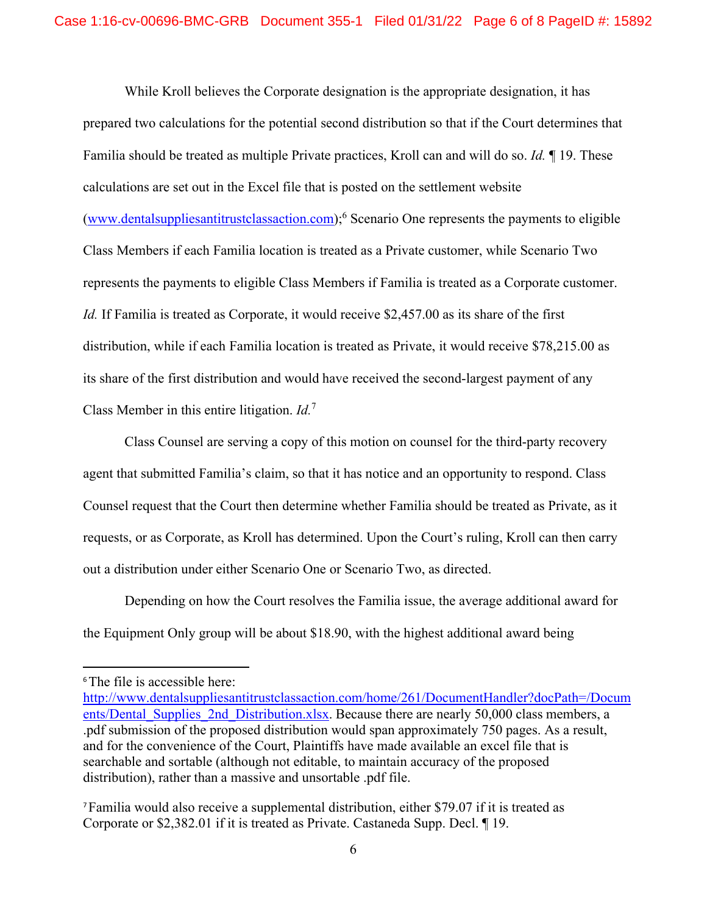While Kroll believes the Corporate designation is the appropriate designation, it has prepared two calculations for the potential second distribution so that if the Court determines that Familia should be treated as multiple Private practices, Kroll can and will do so. *Id.* ¶ 19. These calculations are set out in the Excel file that is posted on the settlement website [\(www.dentalsuppliesantitrustclassaction.com\)](http://www.dentalsuppliesantitrustclassaction.com/);[6](#page-8-0) Scenario One represents the payments to eligible Class Members if each Familia location is treated as a Private customer, while Scenario Two represents the payments to eligible Class Members if Familia is treated as a Corporate customer. *Id.* If Familia is treated as Corporate, it would receive \$2,457.00 as its share of the first distribution, while if each Familia location is treated as Private, it would receive \$78,215.00 as its share of the first distribution and would have received the second-largest payment of any Class Member in this entire litigation. *Id.*[7](#page-8-0)

Class Counsel are serving a copy of this motion on counsel for the third-party recovery agent that submitted Familia's claim, so that it has notice and an opportunity to respond. Class Counsel request that the Court then determine whether Familia should be treated as Private, as it requests, or as Corporate, as Kroll has determined. Upon the Court's ruling, Kroll can then carry out a distribution under either Scenario One or Scenario Two, as directed.

Depending on how the Court resolves the Familia issue, the average additional award for the Equipment Only group will be about \$18.90, with the highest additional award being

<sup>&</sup>lt;sup>6</sup>The file is accessible here:

[http://www.dentalsuppliesantitrustclassaction.com/home/261/DocumentHandler?docPath=/Docum](http://www.dentalsuppliesantitrustclassaction.com/home/261/DocumentHandler?docPath=/Documents/Dental_Supplies_2nd_Distribution.xlsx) ents/Dental Supplies 2nd Distribution.xlsx. Because there are nearly 50,000 class members, a .pdf submission of the proposed distribution would span approximately 750 pages. As a result, and for the convenience of the Court, Plaintiffs have made available an excel file that is searchable and sortable (although not editable, to maintain accuracy of the proposed distribution), rather than a massive and unsortable .pdf file.

<span id="page-8-0"></span><sup>7</sup>Familia would also receive a supplemental distribution, either \$79.07 if it is treated as Corporate or \$2,382.01 if it is treated as Private. Castaneda Supp. Decl. ¶ 19.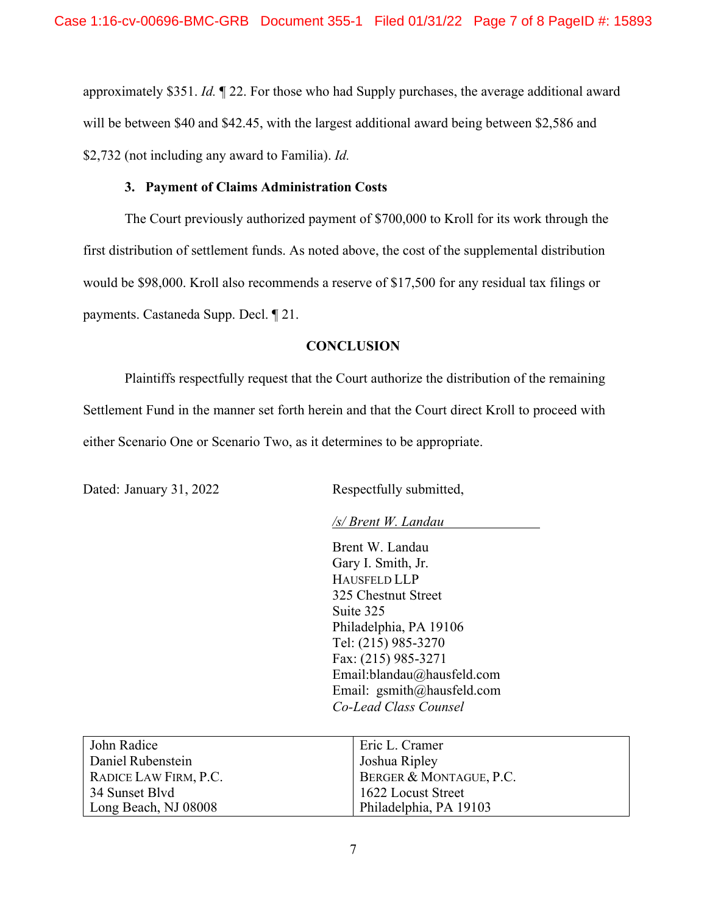approximately \$351. *Id.* ¶ 22. For those who had Supply purchases, the average additional award will be between \$40 and \$42.45, with the largest additional award being between \$2,586 and \$2,732 (not including any award to Familia). *Id.*

### **3. Payment of Claims Administration Costs**

The Court previously authorized payment of \$700,000 to Kroll for its work through the first distribution of settlement funds. As noted above, the cost of the supplemental distribution would be \$98,000. Kroll also recommends a reserve of \$17,500 for any residual tax filings or payments. Castaneda Supp. Decl. ¶ 21.

## **CONCLUSION**

Plaintiffs respectfully request that the Court authorize the distribution of the remaining Settlement Fund in the manner set forth herein and that the Court direct Kroll to proceed with either Scenario One or Scenario Two, as it determines to be appropriate.

Dated: January 31, 2022 Respectfully submitted,

*/s/ Brent W. Landau*

Brent W. Landau Gary I. Smith, Jr. HAUSFELD LLP 325 Chestnut Street Suite 325 Philadelphia, PA 19106 Tel: (215) 985-3270 Fax: (215) 985-3271 [Email:blandau@hausfeld.com](mailto:blandau@hausfeld.com) Email: [gsmith@hausfeld.com](mailto:gsmith@hausfeld.com) *Co-Lead Class Counsel*

| John Radice           | Eric L. Cramer          |
|-----------------------|-------------------------|
| Daniel Rubenstein     | Joshua Ripley           |
| RADICE LAW FIRM, P.C. | BERGER & MONTAGUE, P.C. |
| 34 Sunset Blvd        | 1622 Locust Street      |
| Long Beach, NJ 08008  | Philadelphia, PA 19103  |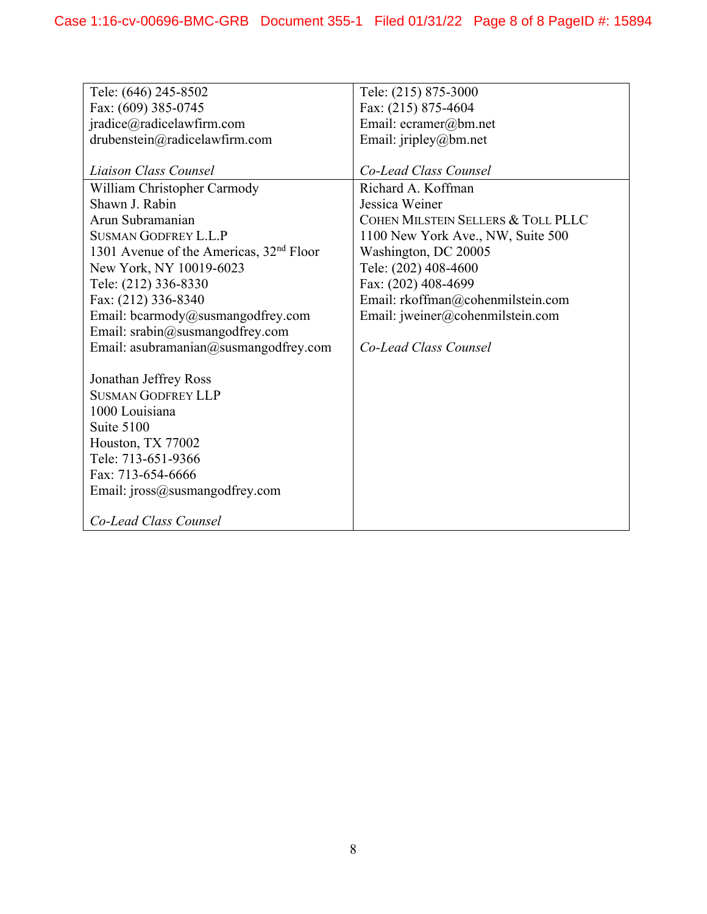| Tele: (646) 245-8502                                | Tele: (215) 875-3000               |
|-----------------------------------------------------|------------------------------------|
| Fax: (609) 385-0745                                 | Fax: (215) 875-4604                |
| jradice@radicelawfirm.com                           | Email: ecramer@bm.net              |
| drubenstein@radicelawfirm.com                       | Email: jripley@bm.net              |
|                                                     |                                    |
| Liaison Class Counsel                               | Co-Lead Class Counsel              |
| William Christopher Carmody                         | Richard A. Koffman                 |
| Shawn J. Rabin                                      | Jessica Weiner                     |
| Arun Subramanian                                    | COHEN MILSTEIN SELLERS & TOLL PLLC |
| <b>SUSMAN GODFREY L.L.P</b>                         | 1100 New York Ave., NW, Suite 500  |
| 1301 Avenue of the Americas, 32 <sup>nd</sup> Floor | Washington, DC 20005               |
| New York, NY 10019-6023                             | Tele: (202) 408-4600               |
| Tele: (212) 336-8330                                | Fax: (202) 408-4699                |
| Fax: (212) 336-8340                                 | Email: rkoffman@cohenmilstein.com  |
| Email: bcarmody@susmangodfrey.com                   | Email: jweiner@cohenmilstein.com   |
| Email: srabin@susmangodfrey.com                     |                                    |
| Email: asubramanian@susmangodfrey.com               | Co-Lead Class Counsel              |
|                                                     |                                    |
| Jonathan Jeffrey Ross                               |                                    |
| <b>SUSMAN GODFREY LLP</b>                           |                                    |
| 1000 Louisiana                                      |                                    |
| Suite 5100                                          |                                    |
| Houston, TX 77002                                   |                                    |
| Tele: 713-651-9366                                  |                                    |
| Fax: 713-654-6666                                   |                                    |
| Email: jross@susmangodfrey.com                      |                                    |
|                                                     |                                    |
| Co-Lead Class Counsel                               |                                    |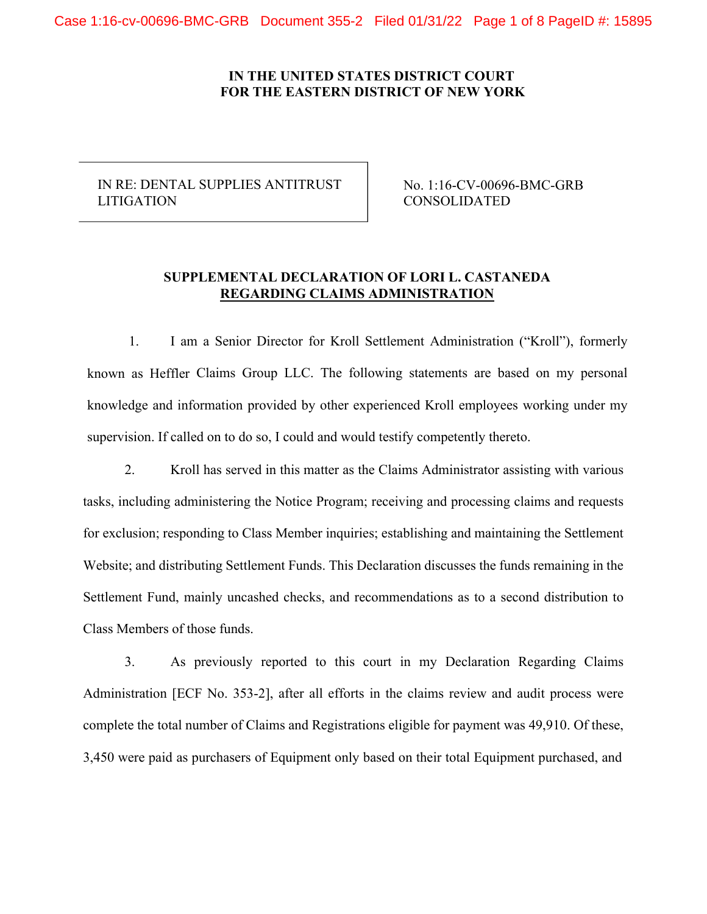# IN RE: DENTAL SUPPLIES ANTITRUST LITIGATION

No. 1:16-CV-00696-BMC-GRB CONSOLIDATED

# **SUPPLEMENTAL DECLARATION OF LORI L. CASTANEDA REGARDING CLAIMS ADMINISTRATION**

1. I am a Senior Director for Kroll Settlement Administration ("Kroll"), formerly known as Heffler Claims Group LLC. The following statements are based on my personal knowledge and information provided by other experienced Kroll employees working under my supervision. If called on to do so, I could and would testify competently thereto.

2. Kroll has served in this matter as the Claims Administrator assisting with various tasks, including administering the Notice Program; receiving and processing claims and requests for exclusion; responding to Class Member inquiries; establishing and maintaining the Settlement Website; and distributing Settlement Funds. This Declaration discusses the funds remaining in the Settlement Fund, mainly uncashed checks, and recommendations as to a second distribution to Class Members of those funds.

3. As previously reported to this court in my Declaration Regarding Claims Administration [ECF No. 353-2], after all efforts in the claims review and audit process were complete the total number of Claims and Registrations eligible for payment was 49,910. Of these, 3,450 were paid as purchasers of Equipment only based on their total Equipment purchased, and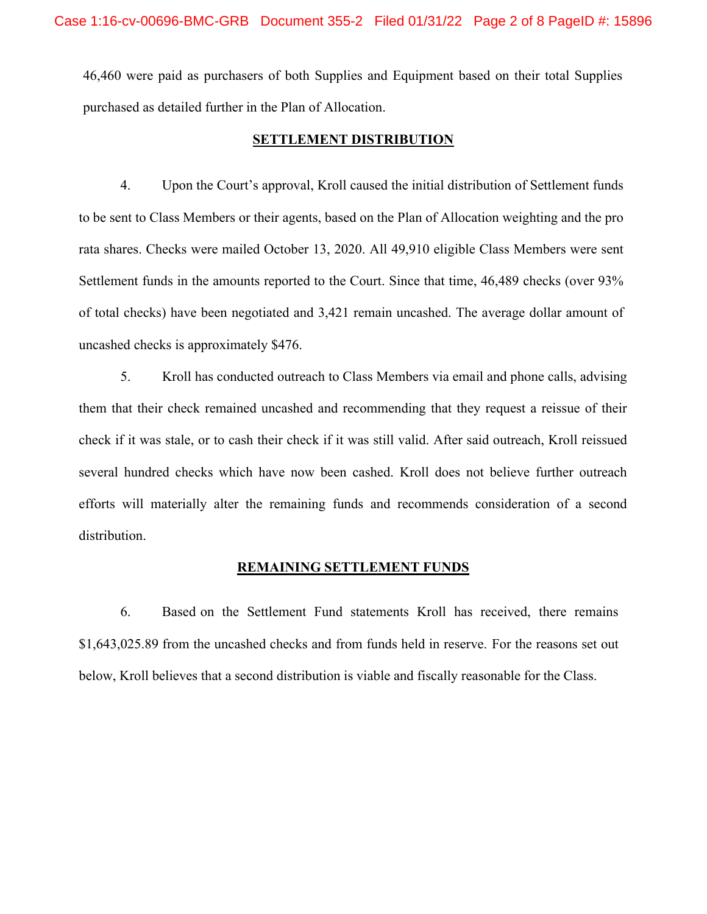46,460 were paid as purchasers of both Supplies and Equipment based on their total Supplies purchased as detailed further in the Plan of Allocation.

#### **SETTLEMENT DISTRIBUTION**

4. Upon the Court's approval, Kroll caused the initial distribution of Settlement funds to be sent to Class Members or their agents, based on the Plan of Allocation weighting and the pro rata shares. Checks were mailed October 13, 2020. All 49,910 eligible Class Members were sent Settlement funds in the amounts reported to the Court. Since that time, 46,489 checks (over 93% of total checks) have been negotiated and 3,421 remain uncashed. The average dollar amount of uncashed checks is approximately \$476.

5. Kroll has conducted outreach to Class Members via email and phone calls, advising them that their check remained uncashed and recommending that they request a reissue of their check if it was stale, or to cash their check if it was still valid. After said outreach, Kroll reissued several hundred checks which have now been cashed. Kroll does not believe further outreach efforts will materially alter the remaining funds and recommends consideration of a second distribution.

#### **REMAINING SETTLEMENT FUNDS**

6. Based on the Settlement Fund statements Kroll has received, there remains \$1,643,025.89 from the uncashed checks and from funds held in reserve. For the reasons set out below, Kroll believes that a second distribution is viable and fiscally reasonable for the Class.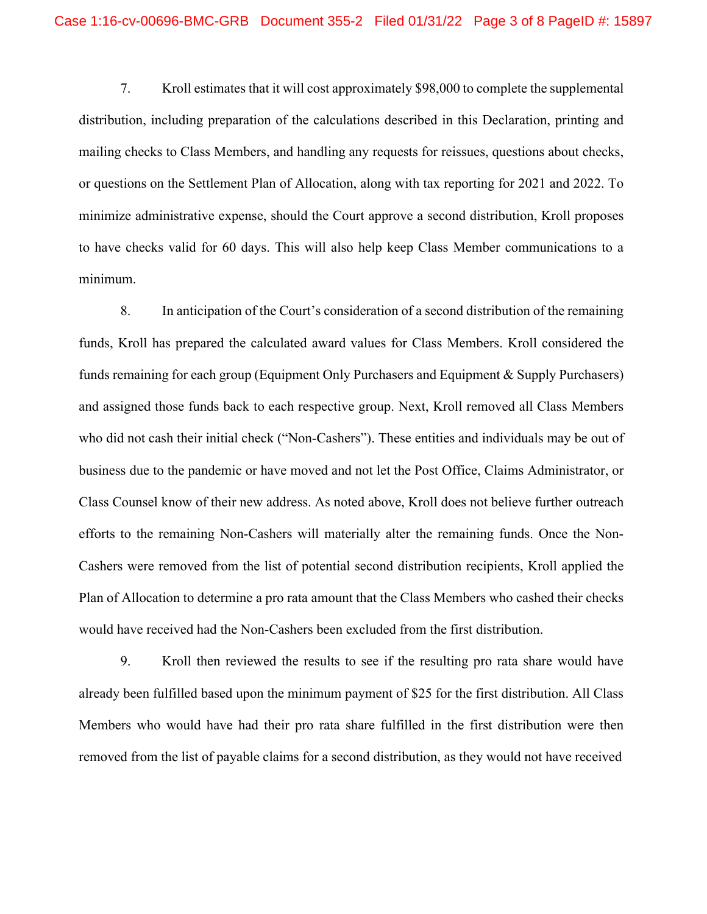7. Kroll estimates that it will cost approximately \$98,000 to complete the supplemental distribution, including preparation of the calculations described in this Declaration, printing and mailing checks to Class Members, and handling any requests for reissues, questions about checks, or questions on the Settlement Plan of Allocation, along with tax reporting for 2021 and 2022. To minimize administrative expense, should the Court approve a second distribution, Kroll proposes to have checks valid for 60 days. This will also help keep Class Member communications to a minimum.

8. In anticipation of the Court's consideration of a second distribution of the remaining funds, Kroll has prepared the calculated award values for Class Members. Kroll considered the funds remaining for each group (Equipment Only Purchasers and Equipment & Supply Purchasers) and assigned those funds back to each respective group. Next, Kroll removed all Class Members who did not cash their initial check ("Non-Cashers"). These entities and individuals may be out of business due to the pandemic or have moved and not let the Post Office, Claims Administrator, or Class Counsel know of their new address. As noted above, Kroll does not believe further outreach efforts to the remaining Non-Cashers will materially alter the remaining funds. Once the Non-Cashers were removed from the list of potential second distribution recipients, Kroll applied the Plan of Allocation to determine a pro rata amount that the Class Members who cashed their checks would have received had the Non-Cashers been excluded from the first distribution.

9. Kroll then reviewed the results to see if the resulting pro rata share would have already been fulfilled based upon the minimum payment of \$25 for the first distribution. All Class Members who would have had their pro rata share fulfilled in the first distribution were then removed from the list of payable claims for a second distribution, as they would not have received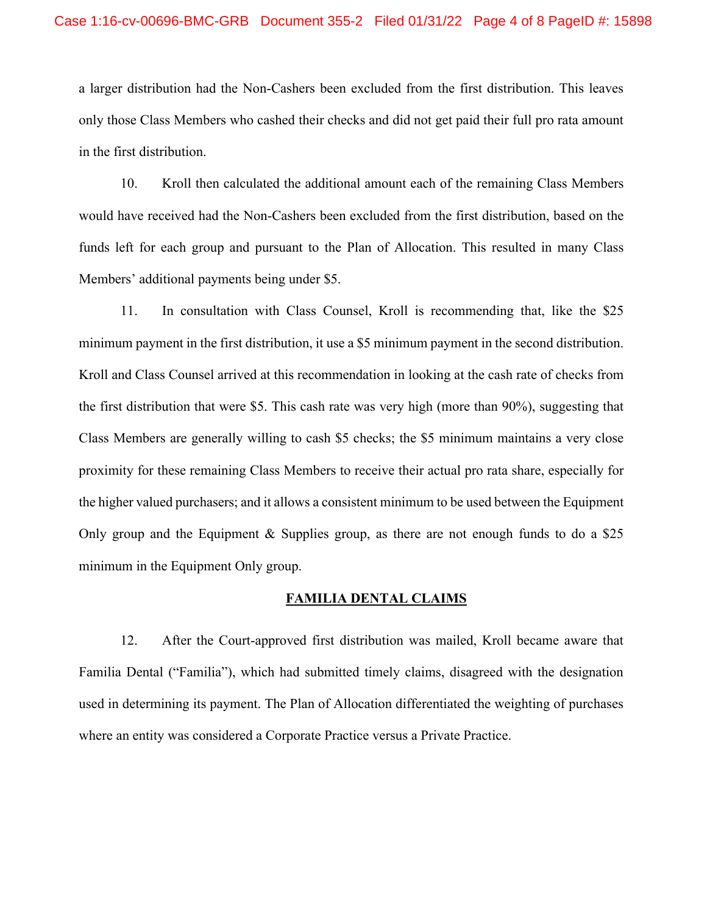a larger distribution had the Non-Cashers been excluded from the first distribution. This leaves only those Class Members who cashed their checks and did not get paid their full pro rata amount in the first distribution.

10. Kroll then calculated the additional amount each of the remaining Class Members would have received had the Non-Cashers been excluded from the first distribution, based on the funds left for each group and pursuant to the Plan of Allocation. This resulted in many Class Members' additional payments being under \$5.

11. In consultation with Class Counsel, Kroll is recommending that, like the \$25 minimum payment in the first distribution, it use a \$5 minimum payment in the second distribution. Kroll and Class Counsel arrived at this recommendation in looking at the cash rate of checks from the first distribution that were \$5. This cash rate was very high (more than 90%), suggesting that Class Members are generally willing to cash \$5 checks; the \$5 minimum maintains a very close proximity for these remaining Class Members to receive their actual pro rata share, especially for the higher valued purchasers; and it allows a consistent minimum to be used between the Equipment Only group and the Equipment & Supplies group, as there are not enough funds to do a \$25 minimum in the Equipment Only group.

#### **FAMILIA DENTAL CLAIMS**

12. After the Court-approved first distribution was mailed, Kroll became aware that Familia Dental ("Familia"), which had submitted timely claims, disagreed with the designation used in determining its payment. The Plan of Allocation differentiated the weighting of purchases where an entity was considered a Corporate Practice versus a Private Practice.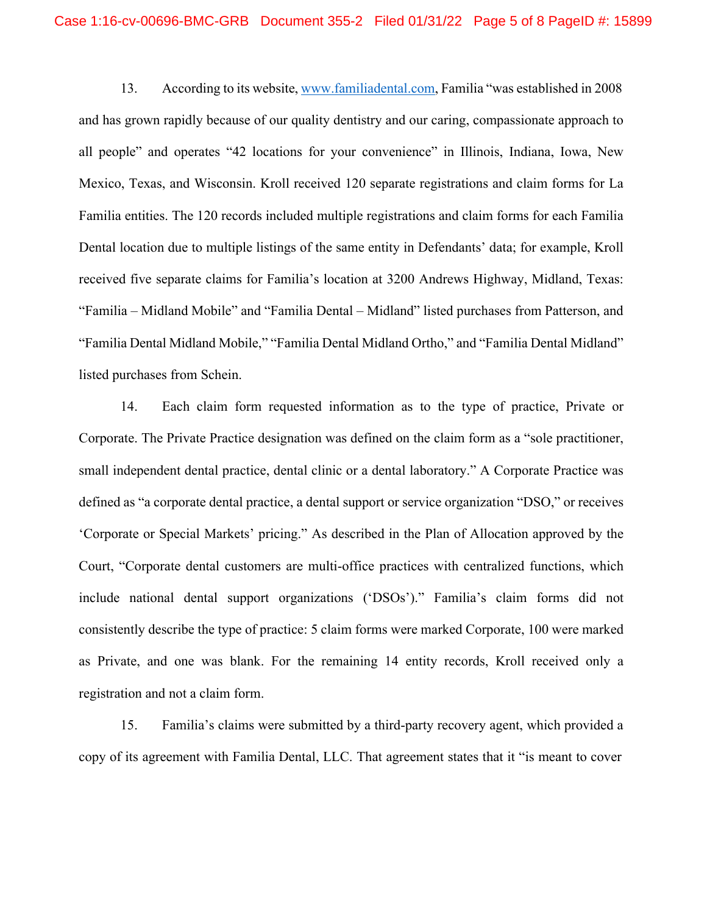13. According to its website, [www.familiadental.com,](http://www.familiadental.com/) Familia "was established in 2008 and has grown rapidly because of our quality dentistry and our caring, compassionate approach to all people" and operates "42 locations for your convenience" in Illinois, Indiana, Iowa, New Mexico, Texas, and Wisconsin. Kroll received 120 separate registrations and claim forms for La Familia entities. The 120 records included multiple registrations and claim forms for each Familia Dental location due to multiple listings of the same entity in Defendants' data; for example, Kroll received five separate claims for Familia's location at 3200 Andrews Highway, Midland, Texas: "Familia – Midland Mobile" and "Familia Dental – Midland" listed purchases from Patterson, and "Familia Dental Midland Mobile," "Familia Dental Midland Ortho," and "Familia Dental Midland" listed purchases from Schein.

14. Each claim form requested information as to the type of practice, Private or Corporate. The Private Practice designation was defined on the claim form as a "sole practitioner, small independent dental practice, dental clinic or a dental laboratory." A Corporate Practice was defined as "a corporate dental practice, a dental support or service organization "DSO," or receives 'Corporate or Special Markets' pricing." As described in the Plan of Allocation approved by the Court, "Corporate dental customers are multi-office practices with centralized functions, which include national dental support organizations ('DSOs')." Familia's claim forms did not consistently describe the type of practice: 5 claim forms were marked Corporate, 100 were marked as Private, and one was blank. For the remaining 14 entity records, Kroll received only a registration and not a claim form.

15. Familia's claims were submitted by a third-party recovery agent, which provided a copy of its agreement with Familia Dental, LLC. That agreement states that it "is meant to cover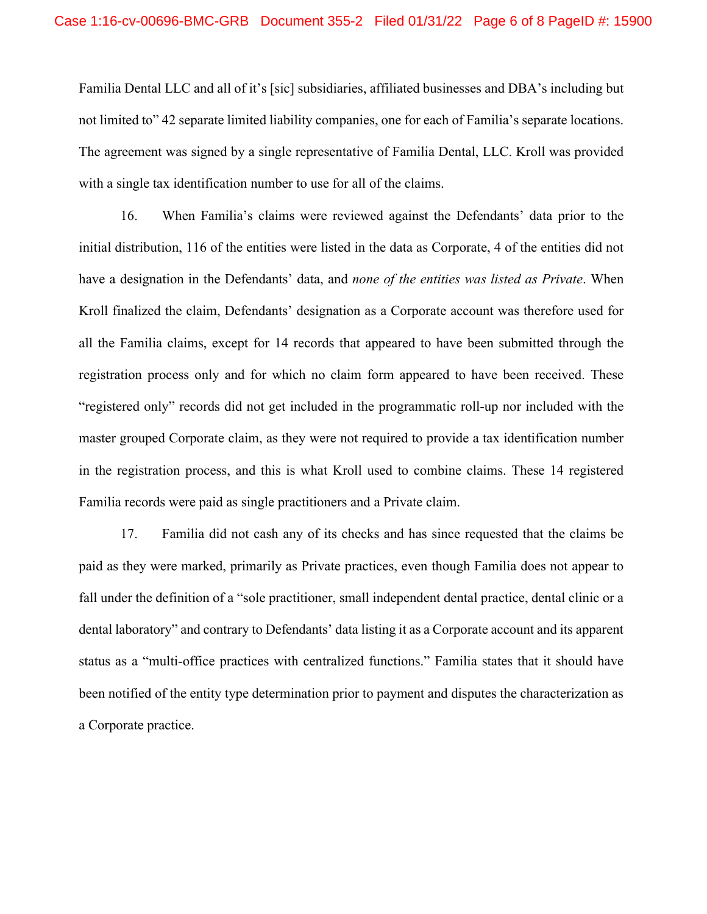Familia Dental LLC and all of it's [sic] subsidiaries, affiliated businesses and DBA's including but not limited to" 42 separate limited liability companies, one for each of Familia's separate locations. The agreement was signed by a single representative of Familia Dental, LLC. Kroll was provided with a single tax identification number to use for all of the claims.

16. When Familia's claims were reviewed against the Defendants' data prior to the initial distribution, 116 of the entities were listed in the data as Corporate, 4 of the entities did not have a designation in the Defendants' data, and *none of the entities was listed as Private*. When Kroll finalized the claim, Defendants' designation as a Corporate account was therefore used for all the Familia claims, except for 14 records that appeared to have been submitted through the registration process only and for which no claim form appeared to have been received. These "registered only" records did not get included in the programmatic roll-up nor included with the master grouped Corporate claim, as they were not required to provide a tax identification number in the registration process, and this is what Kroll used to combine claims. These 14 registered Familia records were paid as single practitioners and a Private claim.

17. Familia did not cash any of its checks and has since requested that the claims be paid as they were marked, primarily as Private practices, even though Familia does not appear to fall under the definition of a "sole practitioner, small independent dental practice, dental clinic or a dental laboratory" and contrary to Defendants' data listing it as a Corporate account and its apparent status as a "multi-office practices with centralized functions." Familia states that it should have been notified of the entity type determination prior to payment and disputes the characterization as a Corporate practice.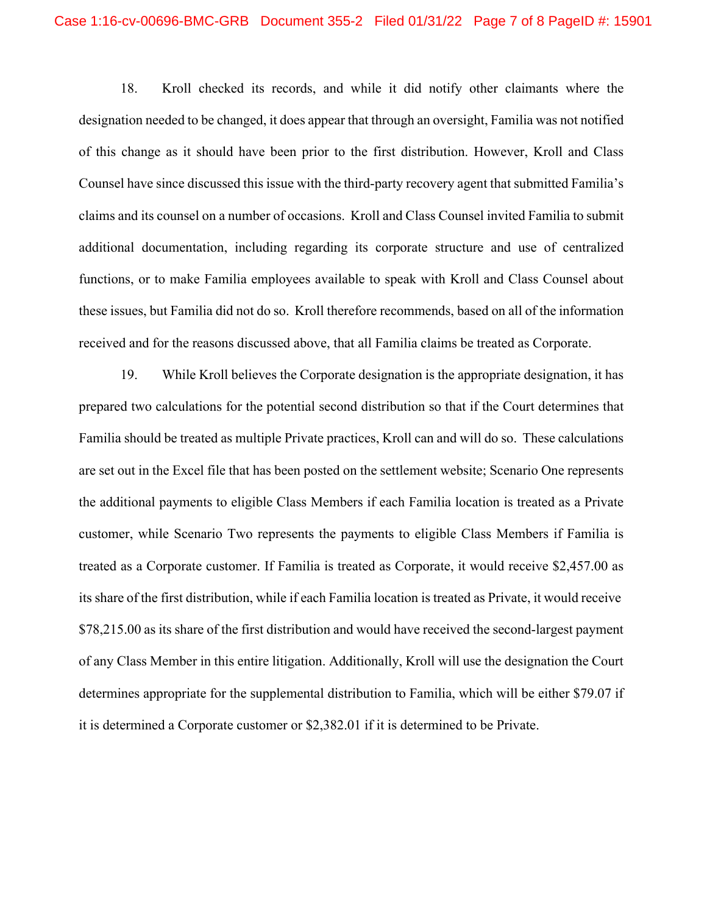18. Kroll checked its records, and while it did notify other claimants where the designation needed to be changed, it does appear that through an oversight, Familia was not notified of this change as it should have been prior to the first distribution. However, Kroll and Class Counsel have since discussed this issue with the third-party recovery agent that submitted Familia's claims and its counsel on a number of occasions. Kroll and Class Counsel invited Familia to submit additional documentation, including regarding its corporate structure and use of centralized functions, or to make Familia employees available to speak with Kroll and Class Counsel about these issues, but Familia did not do so. Kroll therefore recommends, based on all of the information received and for the reasons discussed above, that all Familia claims be treated as Corporate.

19. While Kroll believes the Corporate designation is the appropriate designation, it has prepared two calculations for the potential second distribution so that if the Court determines that Familia should be treated as multiple Private practices, Kroll can and will do so. These calculations are set out in the Excel file that has been posted on the settlement website; Scenario One represents the additional payments to eligible Class Members if each Familia location is treated as a Private customer, while Scenario Two represents the payments to eligible Class Members if Familia is treated as a Corporate customer. If Familia is treated as Corporate, it would receive \$2,457.00 as its share of the first distribution, while if each Familia location is treated as Private, it would receive \$78,215.00 as its share of the first distribution and would have received the second-largest payment of any Class Member in this entire litigation. Additionally, Kroll will use the designation the Court determines appropriate for the supplemental distribution to Familia, which will be either \$79.07 if it is determined a Corporate customer or \$2,382.01 if it is determined to be Private.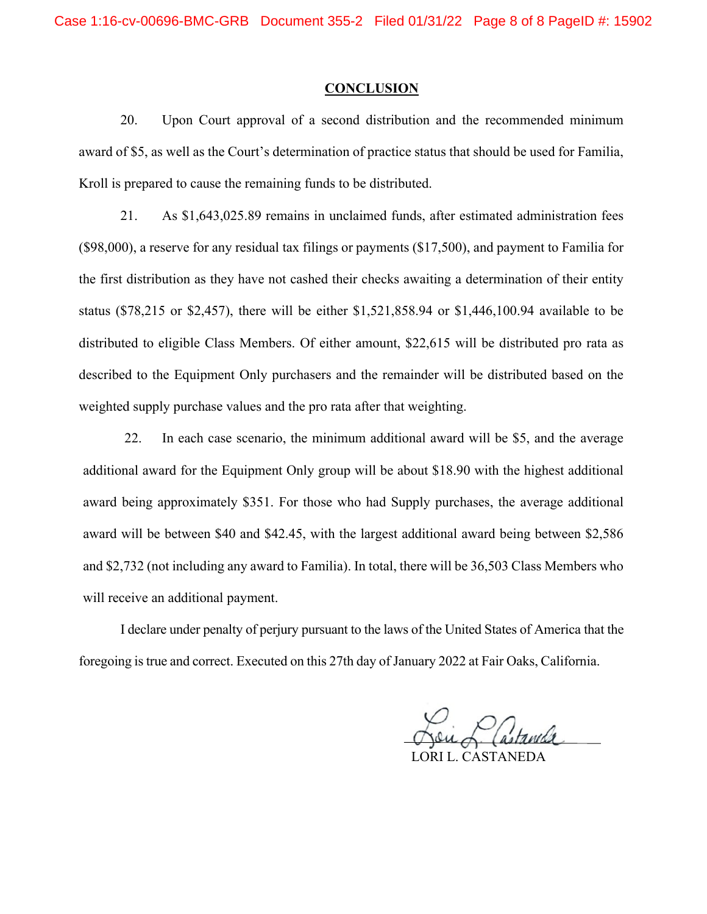#### **CONCLUSION**

20. Upon Court approval of a second distribution and the recommended minimum award of \$5, as well as the Court's determination of practice status that should be used for Familia, Kroll is prepared to cause the remaining funds to be distributed.

21. As \$1,643,025.89 remains in unclaimed funds, after estimated administration fees (\$98,000), a reserve for any residual tax filings or payments (\$17,500), and payment to Familia for the first distribution as they have not cashed their checks awaiting a determination of their entity status (\$78,215 or \$2,457), there will be either \$1,521,858.94 or \$1,446,100.94 available to be distributed to eligible Class Members. Of either amount, \$22,615 will be distributed pro rata as described to the Equipment Only purchasers and the remainder will be distributed based on the weighted supply purchase values and the pro rata after that weighting.

22. In each case scenario, the minimum additional award will be \$5, and the average additional award for the Equipment Only group will be about \$18.90 with the highest additional award being approximately \$351. For those who had Supply purchases, the average additional award will be between \$40 and \$42.45, with the largest additional award being between \$2,586 and \$2,732 (not including any award to Familia). In total, there will be 36,503 Class Members who will receive an additional payment.

I declare under penalty of perjury pursuant to the laws of the United States of America that the foregoing istrue and correct. Executed on this 27th day of January 2022 at Fair Oaks, California.

LORI L. CASTANEDA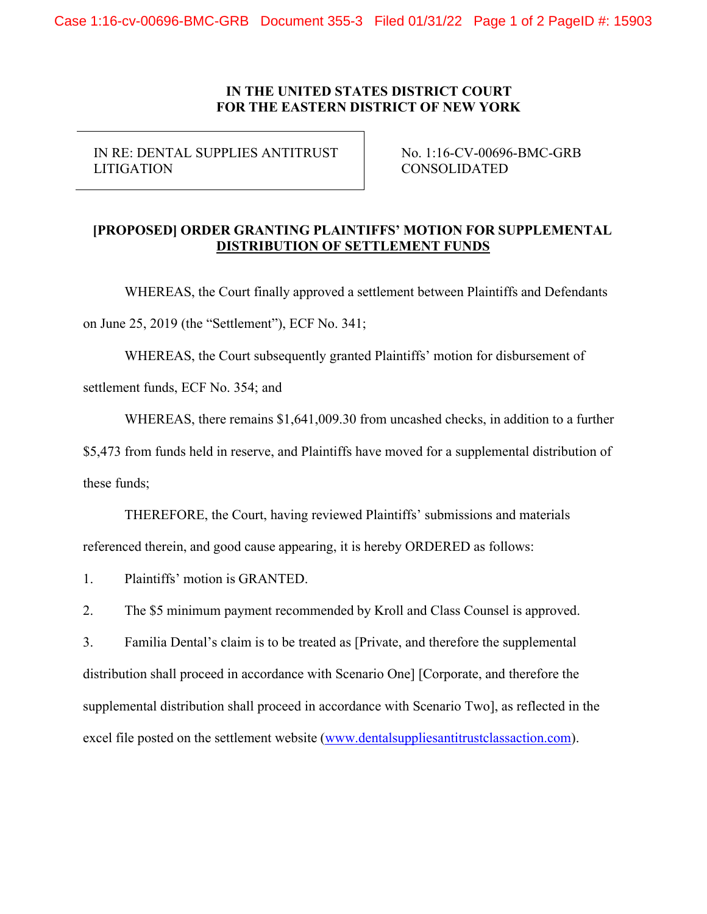IN RE: DENTAL SUPPLIES ANTITRUST LITIGATION

No. 1:16-CV-00696-BMC-GRB CONSOLIDATED

# **[PROPOSED] ORDER GRANTING PLAINTIFFS' MOTION FOR SUPPLEMENTAL DISTRIBUTION OF SETTLEMENT FUNDS**

WHEREAS, the Court finally approved a settlement between Plaintiffs and Defendants on June 25, 2019 (the "Settlement"), ECF No. 341;

WHEREAS, the Court subsequently granted Plaintiffs' motion for disbursement of

settlement funds, ECF No. 354; and

WHEREAS, there remains \$1,641,009.30 from uncashed checks, in addition to a further

\$5,473 from funds held in reserve, and Plaintiffs have moved for a supplemental distribution of these funds;

THEREFORE, the Court, having reviewed Plaintiffs' submissions and materials referenced therein, and good cause appearing, it is hereby ORDERED as follows:

1. Plaintiffs' motion is GRANTED.

2. The \$5 minimum payment recommended by Kroll and Class Counsel is approved.

3. Familia Dental's claim is to be treated as [Private, and therefore the supplemental distribution shall proceed in accordance with Scenario One] [Corporate, and therefore the supplemental distribution shall proceed in accordance with Scenario Two], as reflected in the excel file posted on the settlement website [\(www.dentalsuppliesantitrustclassaction.com\)](http://www.dentalsuppliesantitrustclassaction.com/).